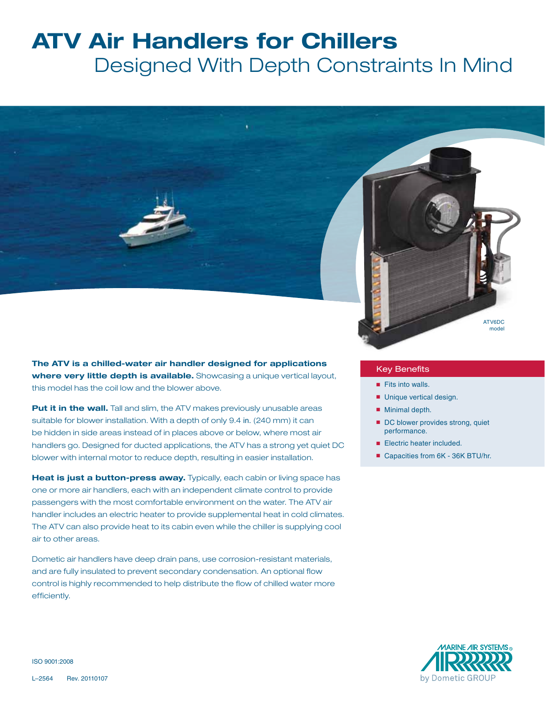# **ATV Air Handlers for Chillers**

 Designed With Depth Constraints In Mind



**The ATV is a chilled-water air handler designed for applications where very little depth is available.** Showcasing a unique vertical layout, this model has the coil low and the blower above.

**Put it in the wall.** Tall and slim, the ATV makes previously unusable areas suitable for blower installation. With a depth of only 9.4 in. (240 mm) it can be hidden in side areas instead of in places above or below, where most air handlers go. Designed for ducted applications, the ATV has a strong yet quiet DC blower with internal motor to reduce depth, resulting in easier installation.

**Heat is just a button-press away.** Typically, each cabin or living space has one or more air handlers, each with an independent climate control to provide passengers with the most comfortable environment on the water. The ATV air handler includes an electric heater to provide supplemental heat in cold climates. The ATV can also provide heat to its cabin even while the chiller is supplying cool air to other areas.

Dometic air handlers have deep drain pans, use corrosion-resistant materials, and are fully insulated to prevent secondary condensation. An optional flow control is highly recommended to help distribute the flow of chilled water more efficiently.

#### Key Benefits

- Fits into walls.
- Unique vertical design.
- Minimal depth.
- DC blower provides strong, quiet performance.

ATV6DC model

- Electric heater included.
- Capacities from 6K 36K BTU/hr.



ISO 9001:2008